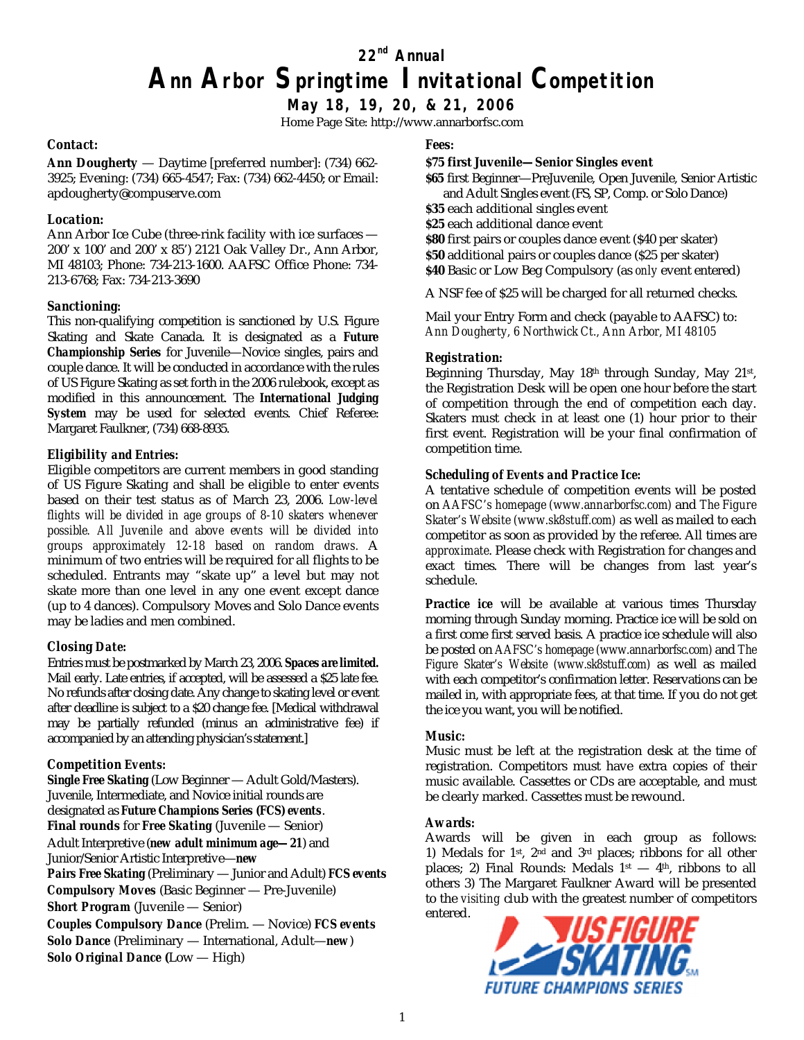**22nd Annual**

# **Ann Arbor Springtime Invitational Competition**

**May 18, 19, 20, & 21, 2006**

Home Page Site:<http://www.annarborfsc.com>

#### *Contact:*

**Ann Dougherty** — Daytime [preferred number]: (734) 662- 3925; Evening: (734) 665-4547; Fax: (734) 662-4450; or Email: [apdougherty@compuserve.com](mailto:apdougherty@compuserve.com)

### *Location:*

Ann Arbor Ice Cube (three-rink facility with ice surfaces — 200' x 100' and 200' x 85') 2121 Oak Valley Dr., Ann Arbor, MI 48103; Phone: 734-213-1600. AAFSC Office Phone: 734- 213-6768; Fax: 734-213-3690

### *Sanctioning:*

This non-qualifying competition is sanctioned by U.S. Figure Skating and Skate Canada. It is designated as a *Future Championship Series* for Juvenile—Novice singles, pairs and couple dance. It will be conducted in accordance with the rules of US Figure Skating as set forth in the 2006 rulebook, except as modified in this announcement. The *International Judging System* may be used for selected events. Chief Referee: Margaret Faulkner, (734) 668-8935.

### *Eligibility and Entries:*

Eligible competitors are current members in good standing of US Figure Skating and shall be eligible to enter events based on their test status as of March 23, 2006. *Low-level flights will be divided in age groups of 8-10 skaters whenever possible. All Juvenile and above events will be divided into groups approximately 12-18 based on random draws.* A minimum of two entries will be required for all flights to be scheduled. Entrants may "skate up" a level but may not skate more than one level in any one event except dance (up to 4 dances). Compulsory Moves and Solo Dance events may be ladies and men combined.

### *Closing Date:*

Entries must be postmarked by March 23, 2006. *Spaces are limited.* Mail early. Late entries, if accepted, will be assessed a \$25 late fee. No refunds after closing date. Any change to skating level or event after deadline is subject to a \$20 change fee. [Medical withdrawal may be partially refunded (minus an administrative fee) if accompanied by an attending physician's statement.]

### *Competition Events:*

*Single Free Skating* (Low Beginner — Adult Gold/Masters). Juvenile, Intermediate, and Novice initial rounds are designated as *Future Champions Series (FCS) events*. **Final rounds** for *Free Skating* (Juvenile — Senior) Adult Interpretive (*new adult minimum age—21*) and Junior/Senior Artistic Interpretive—*new Pairs Free Skating* (Preliminary — Junior and Adult) *FCS events Compulsory Moves* (Basic Beginner — Pre-Juvenile) *Short Program* (Juvenile — Senior) *Couples Compulsory Dance* (Prelim. — Novice) *FCS events Solo Dance* (Preliminary — International, Adult—*new*) *Solo Original Dance* **(**Low — High)

### *Fees:*

**\$75 first Juvenile—Senior Singles event \$65** first Beginner—PreJuvenile, Open Juvenile, Senior Artistic and Adult Singles event (FS, SP, Comp. or Solo Dance) **\$35** each additional singles event **\$25** each additional dance event **\$80** first pairs or couples dance event (\$40 per skater) **\$50** additional pairs or couples dance (\$25 per skater) **\$40** Basic or Low Beg Compulsory (as *only* event entered)

A NSF fee of \$25 will be charged for all returned checks.

Mail your Entry Form and check (payable to AAFSC) to: *Ann Dougherty, 6 Northwick Ct., Ann Arbor, MI 48105*

#### *Registration:*

Beginning Thursday, May 18<sup>th</sup> through Sunday, May 21st, the Registration Desk will be open one hour before the start of competition through the end of competition each day. Skaters must check in at least one (1) hour prior to their first event. Registration will be your final confirmation of competition time.

#### *Scheduling of Events and Practice Ice:*

A tentative schedule of competition events will be posted on *AAFSC's homepage (www.annarborfsc.com)* and *The Figure Skater's Website (www.sk8stuff.com)* as well as mailed to each competitor as soon as provided by the referee. All times are *approximate*. Please check with Registration for changes and exact times. There will be changes from last year's schedule.

*Practice ice* will be available at various times Thursday morning through Sunday morning. Practice ice will be sold on a first come first served basis. A practice ice schedule will also be posted on *AAFSC's homepage (www.annarborfsc.com)* and *The Figure Skater's Website (www.sk8stuff.com)* as well as mailed with each competitor's confirmation letter. Reservations can be mailed in, with appropriate fees, at that time. If you do not get the ice you want, you will be notified.

### *Music:*

Music must be left at the registration desk at the time of registration. Competitors must have extra copies of their music available. Cassettes or CDs are acceptable, and must be clearly marked. Cassettes must be rewound.

#### *Awards:*

Awards will be given in each group as follows: 1) Medals for  $1st$ ,  $2nd$  and  $3rd$  places; ribbons for all other places; 2) Final Rounds: Medals  $1<sup>st</sup> - 4<sup>th</sup>$ , ribbons to all others 3) The Margaret Faulkner Award will be presented to the *visiting* club with the greatest number of competitors entered.

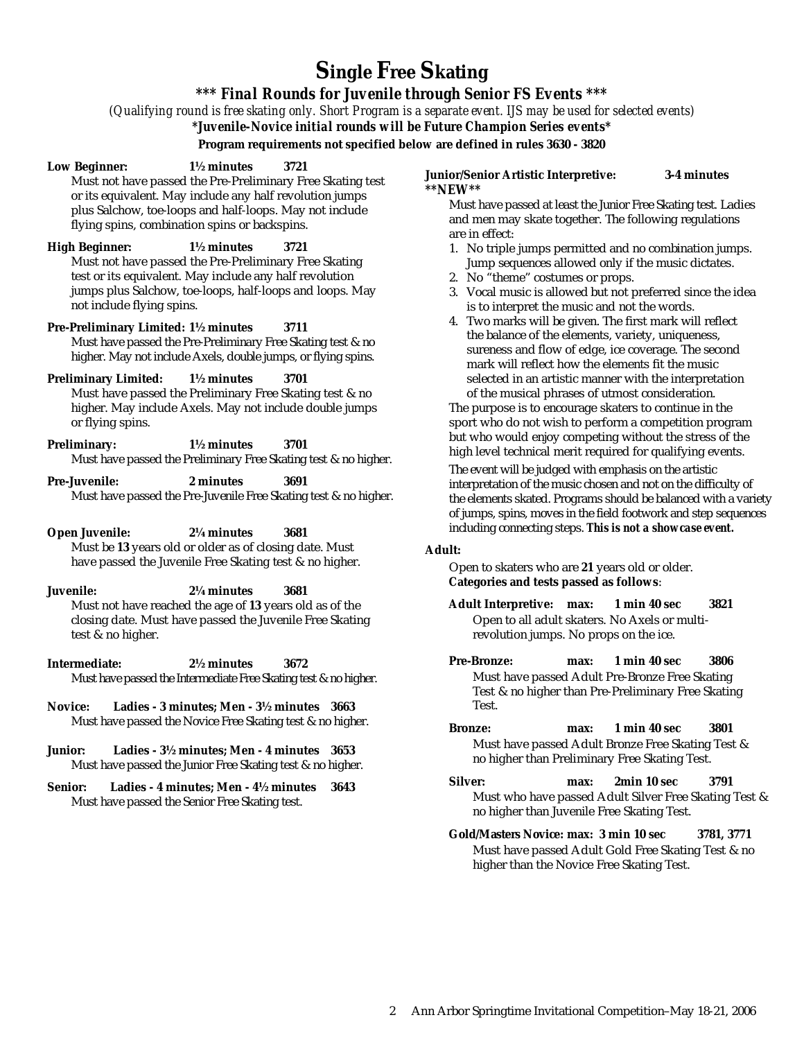# **Single Free Skating**

*\*\*\* Final Rounds for Juvenile through Senior FS Events \*\*\**

*(Qualifying round is free skating only. Short Program is a separate event. IJS may be used for selected events)*

*\*Juvenile-Novice initial rounds will be Future Champion Series events\**

**Program requirements not specified below are defined in rules 3630 - 3820**

**Low Beginner: 1½ minutes 3721**

Must not have passed the Pre-Preliminary Free Skating test or its equivalent. May include any half revolution jumps plus Salchow, toe-loops and half-loops. May not include flying spins, combination spins or backspins.

**High Beginner: 1½ minutes 3721** Must not have passed the Pre-Preliminary Free Skating test or its equivalent. May include any half revolution jumps plus Salchow, toe-loops, half-loops and loops. May not include flying spins.

**Pre-Preliminary Limited: 1½ minutes 3711** Must have passed the Pre-Preliminary Free Skating test & no higher. May not include Axels, double jumps, or flying spins.

**Preliminary Limited: 1½ minutes 3701** Must have passed the Preliminary Free Skating test & no higher. May include Axels. May not include double jumps or flying spins.

**Preliminary: 1½ minutes 3701** Must have passed the Preliminary Free Skating test & no higher.

**Pre-Juvenile: 2 minutes 3691** Must have passed the Pre-Juvenile Free Skating test & no higher.

**Open Juvenile: 2¼ minutes 3681** Must be **13** years old or older as of closing date. Must have passed the Juvenile Free Skating test & no higher.

**Juvenile: 2¼ minutes 3681** Must not have reached the age of **13** years old as of the closing date. Must have passed the Juvenile Free Skating test & no higher.

**Intermediate: 2½ minutes 3672** Must have passed the Intermediate Free Skating test & no higher.

**Novice: Ladies - 3 minutes; Men - 3½ minutes 3663** Must have passed the Novice Free Skating test & no higher.

**Junior: Ladies - 3½ minutes; Men - 4 minutes 3653** Must have passed the Junior Free Skating test & no higher.

**Senior: Ladies - 4 minutes; Men - 4½ minutes 3643** Must have passed the Senior Free Skating test.

**Junior/Senior Artistic Interpretive: 3-4 minutes** *\*\*NEW\*\**

Must have passed at least the Junior Free Skating test. Ladies and men may skate together. The following regulations are in effect:

- 1. No triple jumps permitted and no combination jumps. Jump sequences allowed only if the music dictates.
- 2. No "theme" costumes or props.
- 3. Vocal music is allowed but not preferred since the idea is to interpret the music and not the words.
- 4. Two marks will be given. The first mark will reflect the balance of the elements, variety, uniqueness, sureness and flow of edge, ice coverage. The second mark will reflect how the elements fit the music selected in an artistic manner with the interpretation of the musical phrases of utmost consideration.

The purpose is to encourage skaters to continue in the sport who do not wish to perform a competition program but who would enjoy competing without the stress of the high level technical merit required for qualifying events.

The event will be judged with emphasis on the artistic interpretation of the music chosen and not on the difficulty of the elements skated. Programs should be balanced with a variety of jumps, spins, moves in the field footwork and step sequences including connecting steps. *This is not a showcase event.*

#### **Adult:**

Open to skaters who are **21** years old or older. **Categories and tests passed as follows**:

**Adult Interpretive: max: 1 min 40 sec 3821** Open to all adult skaters. No Axels or multirevolution jumps. No props on the ice.

- **Pre-Bronze: max: 1 min 40 sec 3806** Must have passed Adult Pre-Bronze Free Skating Test & no higher than Pre-Preliminary Free Skating Test.
- **Bronze: max: 1 min 40 sec 3801** Must have passed Adult Bronze Free Skating Test & no higher than Preliminary Free Skating Test.
- **Silver: max: 2min 10 sec 3791** Must who have passed Adult Silver Free Skating Test & no higher than Juvenile Free Skating Test.

**Gold/Masters Novice: max: 3 min 10 sec 3781, 3771** Must have passed Adult Gold Free Skating Test & no higher than the Novice Free Skating Test.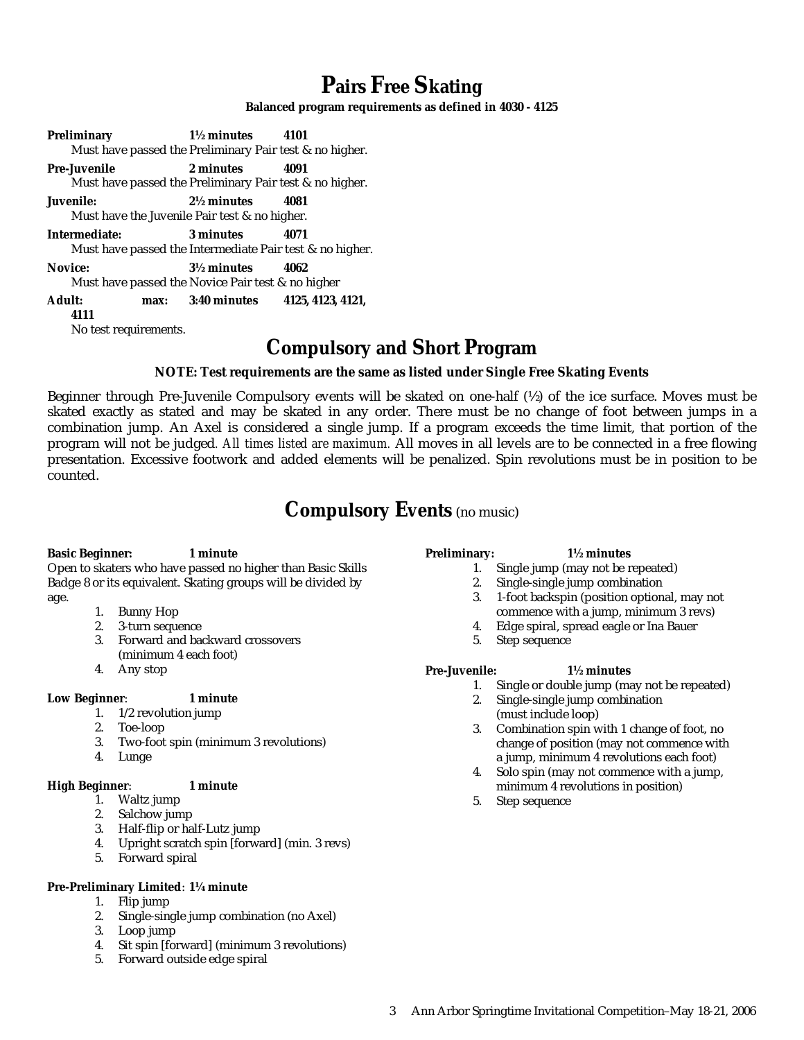# **Pairs Free Skating**

**Balanced program requirements as defined in 4030 - 4125**

**Preliminary 1½ minutes 4101** Must have passed the Preliminary Pair test & no higher. **Pre-Juvenile 2 minutes 4091** Must have passed the Preliminary Pair test & no higher. **Juvenile: 2½ minutes 4081** Must have the Juvenile Pair test & no higher. **Intermediate: 3 minutes 4071** Must have passed the Intermediate Pair test & no higher. **Novice: 3½ minutes 4062** Must have passed the Novice Pair test & no higher **Adult: max: 3:40 minutes 4125, 4123, 4121, 4111** No test requirements.

### **Compulsory and Short Program**

**NOTE: Test requirements are the same as listed under Single Free Skating Events**

Beginner through Pre-Juvenile Compulsory events will be skated on one-half (½) of the ice surface. Moves must be skated exactly as stated and may be skated in any order. There must be no change of foot between jumps in a combination jump. An Axel is considered a single jump. If a program exceeds the time limit, that portion of the program will not be judged*. All times listed are maximum.* All moves in all levels are to be connected in a free flowing presentation. Excessive footwork and added elements will be penalized. Spin revolutions must be in position to be counted.

### **Compulsory Events** (no music)

**Basic Beginner: 1 minute** Open to skaters who have passed no higher than Basic Skills Badge 8 or its equivalent. Skating groups will be divided by age.

- 1. Bunny Hop
- 2. 3-turn sequence
- 3. Forward and backward crossovers (minimum 4 each foot)
- 4. Any stop

**Low Beginner**: **1 minute**

- 1. 1/2 revolution jump
- 2. Toe-loop
- 3. Two-foot spin (minimum 3 revolutions)
- 4. Lunge

**High Beginner**: **1 minute**

- 1. Waltz jump
	- 2. Salchow jump
	- 3. Half-flip or half-Lutz jump
- 4. Upright scratch spin [forward] (min. 3 revs)
- 5. Forward spiral

#### **Pre-Preliminary Limited**: **1¼ minute**

- 1. Flip jump
- 2. Single-single jump combination (no Axel)
- 3. Loop jump
- 4. Sit spin [forward] (minimum 3 revolutions)
- 5. Forward outside edge spiral

### **Preliminary: 1½ minutes**

- 1. Single jump (may not be repeated)
- 2. Single-single jump combination
- 3. 1-foot backspin (position optional, may not commence with a jump, minimum 3 revs)
- 4. Edge spiral, spread eagle or Ina Bauer
- 5. Step sequence

**Pre-Juvenile: 1½ minutes**

- 1. Single or double jump (may not be repeated)
	- 2. Single-single jump combination (must include loop)
	- 3. Combination spin with 1 change of foot, no change of position (may not commence with a jump, minimum 4 revolutions each foot)
- 4. Solo spin (may not commence with a jump, minimum 4 revolutions in position)
- 5. Step sequence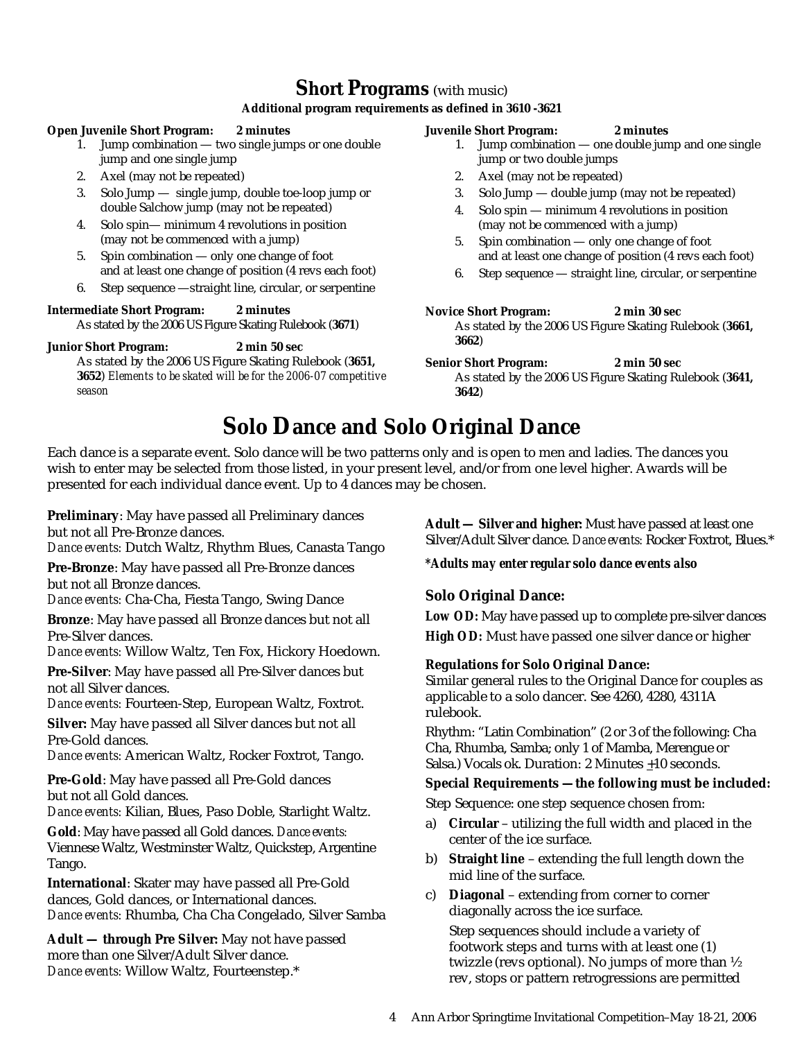### **Short Programs** (with music)

### **Additional program requirements as defined in 3610 -3621**

**Open Juvenile Short Program: 2 minutes**

- 1. Jump combination two single jumps or one double jump and one single jump
- 2. Axel (may not be repeated)
- 3. Solo Jump single jump, double toe-loop jump or double Salchow jump (may not be repeated)
- 4. Solo spin— minimum 4 revolutions in position (may not be commenced with a jump)
- 5. Spin combination only one change of foot and at least one change of position (4 revs each foot)
- 6. Step sequence —straight line, circular, or serpentine

**Intermediate Short Program: 2 minutes** As stated by the 2006 US Figure Skating Rulebook (**3671**)

**Junior Short Program: 2 min 50 sec**

As stated by the 2006 US Figure Skating Rulebook (**3651, 3652**) *Elements to be skated will be for the 2006-07 competitive season*

**Juvenile Short Program: 2 minutes**

- 1. Jump combination one double jump and one single jump or two double jumps
- 2. Axel (may not be repeated)
- 3. Solo Jump double jump (may not be repeated)
- 4. Solo spin minimum 4 revolutions in position (may not be commenced with a jump)
- 5. Spin combination only one change of foot and at least one change of position (4 revs each foot)
- 6. Step sequence straight line, circular, or serpentine

**Novice Short Program: 2 min 30 sec** As stated by the 2006 US Figure Skating Rulebook (**3661, 3662**)

**Senior Short Program: 2 min 50 sec** As stated by the 2006 US Figure Skating Rulebook (**3641, 3642**)

# **Solo Dance and Solo Original Dance**

Each dance is a separate event. Solo dance will be two patterns only and is open to men and ladies. The dances you wish to enter may be selected from those listed, in your present level, and/or from one level higher. Awards will be presented for each individual dance event. Up to 4 dances may be chosen.

**Preliminary**: May have passed all Preliminary dances but not all Pre-Bronze dances.

*Dance events:* Dutch Waltz, Rhythm Blues, Canasta Tango

**Pre-Bronze**: May have passed all Pre-Bronze dances but not all Bronze dances.

*Dance events:* Cha-Cha, Fiesta Tango, Swing Dance

**Bronze**: May have passed all Bronze dances but not all Pre-Silver dances.

*Dance events:* Willow Waltz, Ten Fox, Hickory Hoedown.

**Pre-Silver**: May have passed all Pre-Silver dances but not all Silver dances.

*Dance events:* Fourteen-Step, European Waltz, Foxtrot.

**Silver:** May have passed all Silver dances but not all Pre-Gold dances.

*Dance events:* American Waltz, Rocker Foxtrot, Tango.

**Pre-Gold**: May have passed all Pre-Gold dances but not all Gold dances.

*Dance events:* Kilian, Blues, Paso Doble, Starlight Waltz.

**Gold**: May have passed all Gold dances. *Dance events:* Viennese Waltz, Westminster Waltz, Quickstep, Argentine Tango.

**International**: Skater may have passed all Pre-Gold dances, Gold dances, or International dances. *Dance events:* Rhumba, Cha Cha Congelado, Silver Samba

**Adult — through Pre Silver:** May not have passed more than one Silver/Adult Silver dance. *Dance events:* Willow Waltz, Fourteenstep.\*

**Adult — Silver and higher:** Must have passed at least one Silver/Adult Silver dance. *Dance events:* Rocker Foxtrot, Blues.\*

*\*Adults may enter regular solo dance events also*

### **Solo Original Dance:**

*Low OD:* May have passed up to complete pre-silver dances *High OD:* Must have passed one silver dance or higher

**Regulations for Solo Original Dance:**

Similar general rules to the Original Dance for couples as applicable to a solo dancer. See 4260, 4280, 4311A rulebook.

Rhythm: "Latin Combination" (2 or 3 of the following: Cha Cha, Rhumba, Samba; only 1 of Mamba, Merengue or Salsa.) Vocals ok. Duration: 2 Minutes  $\pm 10$  seconds.

**Special Requirements —the following must be included:**

Step Sequence: one step sequence chosen from:

- a) **Circular** utilizing the full width and placed in the center of the ice surface.
- b) **Straight line** extending the full length down the mid line of the surface.
- c) **Diagonal** extending from corner to corner diagonally across the ice surface.

Step sequences should include a variety of footwork steps and turns with at least one (1) twizzle (revs optional). No jumps of more than ½ rev, stops or pattern retrogressions are permitted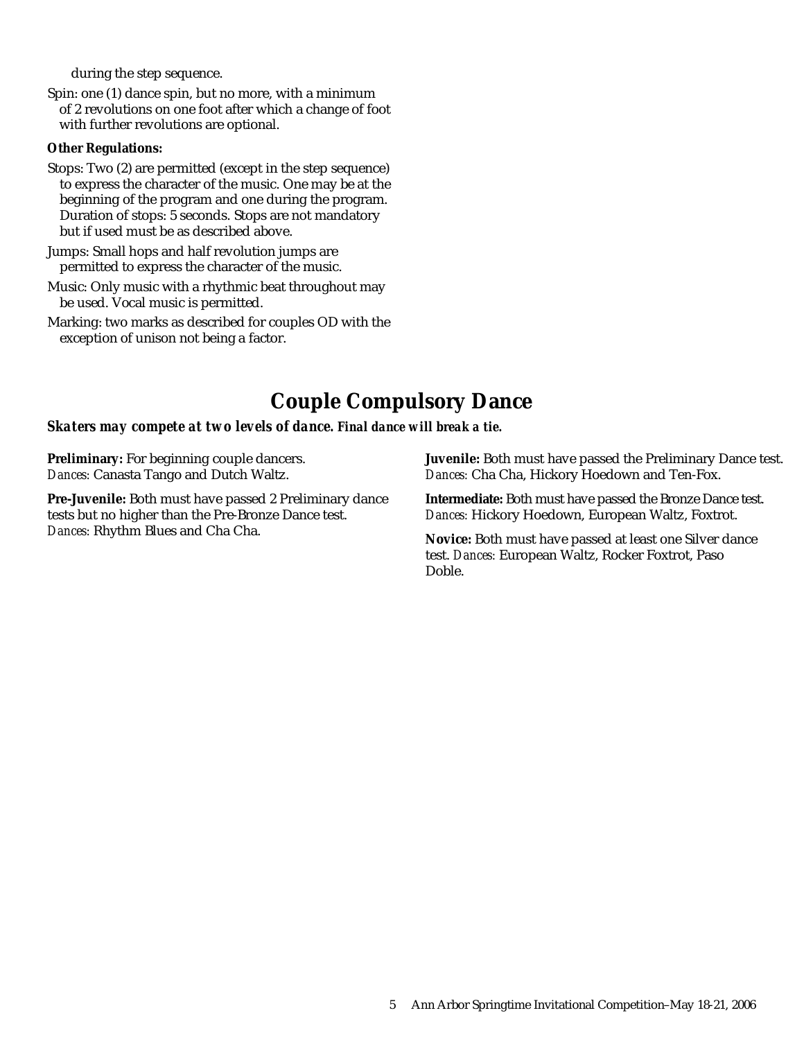during the step sequence.

Spin: one (1) dance spin, but no more, with a minimum of 2 revolutions on one foot after which a change of foot with further revolutions are optional.

**Other Regulations:**

- Stops: Two (2) are permitted (except in the step sequence) to express the character of the music. One may be at the beginning of the program and one during the program. Duration of stops: 5 seconds. Stops are not mandatory but if used must be as described above.
- Jumps: Small hops and half revolution jumps are permitted to express the character of the music.
- Music: Only music with a rhythmic beat throughout may be used. Vocal music is permitted.
- Marking: two marks as described for couples OD with the exception of unison not being a factor.

## **Couple Compulsory Dance**

*Skaters may compete at two levels of dance. Final dance will break a tie.*

**Preliminary:** For beginning couple dancers. *Dances:* Canasta Tango and Dutch Waltz.

**Pre-Juvenile:** Both must have passed 2 Preliminary dance tests but no higher than the Pre-Bronze Dance test. *Dances:* Rhythm Blues and Cha Cha.

**Juvenile:** Both must have passed the Preliminary Dance test. *Dances:* Cha Cha, Hickory Hoedown and Ten-Fox.

**Intermediate:** Both must have passed the Bronze Dance test. *Dances:* Hickory Hoedown, European Waltz, Foxtrot.

**Novice:** Both must have passed at least one Silver dance test. *Dances:* European Waltz, Rocker Foxtrot, Paso Doble.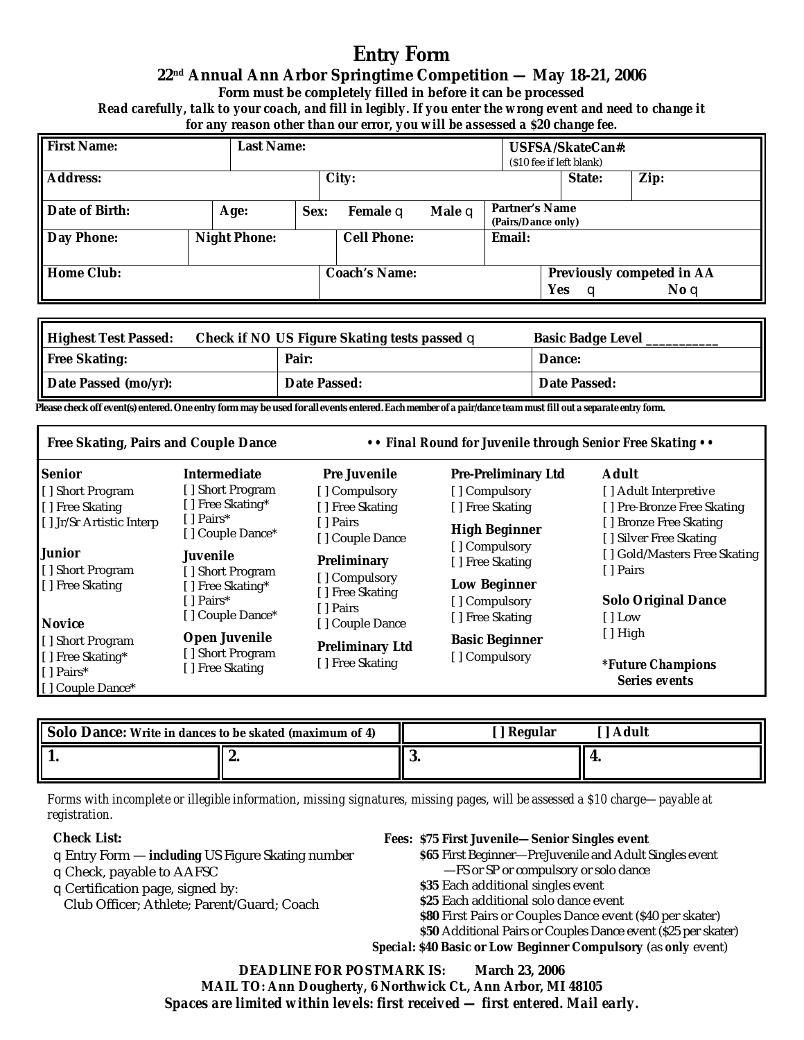# **Entry Form**

### **22nd Annual Ann Arbor Springtime Competition — May 18-21, 2006**

**Form must be completely filled in before it can be processed**

*Read carefully, talk to your coach, and fill in legibly. If you enter the wrong event and need to change it for any reason other than our error, you will be assessed a \$20 change fee.*

| First Name:    |              | Last Name: |               |        | USFSA/SkateCan#:<br>(\$10 fee if left blank) |          |                                   |
|----------------|--------------|------------|---------------|--------|----------------------------------------------|----------|-----------------------------------|
| Address:       |              |            | City:         |        |                                              | State:   | Zip:                              |
| Date of Birth: | Age:         | Sex:       | Female q      | Male q | Partner's Name<br>(Pairs/Dance only)         |          |                                   |
| Day Phone:     | Night Phone: |            | Cell Phone:   |        | Email:                                       |          |                                   |
| Home Club:     |              |            | Coach's Name: |        |                                              | Yes<br>a | Previously competed in AA<br>No q |

| Highest Test Passed: | Check if NOUS Figure Skating tests passed q | Basic Badge Level |
|----------------------|---------------------------------------------|-------------------|
| Free Skating:        | Pair:                                       | Dance:            |
| Date Passed (mo/yr): | Date Passed:                                | Date Passed:      |

**Please check off event(s) entered. One entry form may be used for all events entered***. Each member of a pair/dance team must fill out a separate entry form.*

| Free Skating, Pairs and Couple Dance                 |                                                    | • • Final Round for Juvenile through Senior Free Skating • •     |                                                  |                                                     |  |
|------------------------------------------------------|----------------------------------------------------|------------------------------------------------------------------|--------------------------------------------------|-----------------------------------------------------|--|
| Senior                                               | Intermediate                                       | Pre Juvenile                                                     | Pre-Preliminary Ltd                              | Adult                                               |  |
| [] Short Program<br>[] Free Skating                  | [] Short Program<br>[] Free Skating*               | [] Compulsory<br>[] Free Skating                                 | [] Compulsory<br>[] Free Skating                 | [] Adult Interpretive<br>[] Pre-Bronze Free Skating |  |
| [1] Jr/Sr Artistic Interp                            | [ ] Pairs*<br>[] Couple Dance*                     | [ ] Pairs<br>[] Couple Dance                                     | High Beginner<br>[] Compulsory                   | [] Bronze Free Skating<br>[] Silver Free Skating    |  |
| <b>Junior</b><br>[] Short Program                    | Juvenile<br>[] Short Program                       | Preliminary                                                      | [] Free Skating                                  | [] Gold/Masters Free Skating<br>[ ] Pairs           |  |
| [[] Free Skating<br>Novice                           | [] Free Skating*<br>[ ] Pairs*<br>[] Couple Dance* | [] Compulsory<br>[] Free Skating<br>[ ] Pairs<br>[] Couple Dance | Low Beginner<br>[] Compulsory<br>[] Free Skating | Solo Original Dance<br>[ ] Low                      |  |
| [] Short Program                                     | Open Juvenile                                      | Preliminary Ltd                                                  | <b>Basic Beginner</b>                            | $[ ]$ High                                          |  |
| [[] Free Skating*<br>[ ] Pairs*<br>I   Couple Dance* | [] Free Skating                                    | [] Short Program<br>[] Free Skating                              | [] Compulsory                                    | <i>*Future Champions</i><br>Series events           |  |

| Solo Dance: Write in dances to be skated (maximum of 4) |          | Regular<br>Adult |  |  |
|---------------------------------------------------------|----------|------------------|--|--|
|                                                         | <u>.</u> | ، پ              |  |  |

*Forms with incomplete or illegible information, missing signatures, missing pages, will be assessed a \$10 charge—payable at registration.*

**Check List:**

qEntry Form — *including* US Figure Skating number qCheck, payable to AAFSC qCertification page, signed by:

Club Officer; Athlete; Parent/Guard; Coach

- *Fees:* **\$75 First Juvenile—Senior Singles event**
	- *\$***65** First Beginner—PreJuvenile and Adult Singles event —FS or SP or compulsory or solo dance
	- **\$35** Each additional singles event
	- **\$25** Each additional solo dance event
	- **\$80** First Pairs or Couples Dance event (\$40 per skater)
	- **\$50** Additional Pairs or Couples Dance event (\$25 per skater)

*Special:* **\$40 Basic or Low Beginner Compulsory** (as *only* event)

**DEADLINE FOR POSTMARK IS: March 23, 2006 MAIL TO: Ann Dougherty, 6 Northwick Ct., Ann Arbor, MI 48105** *Spaces are limited within levels: first received — first entered. Mail early.*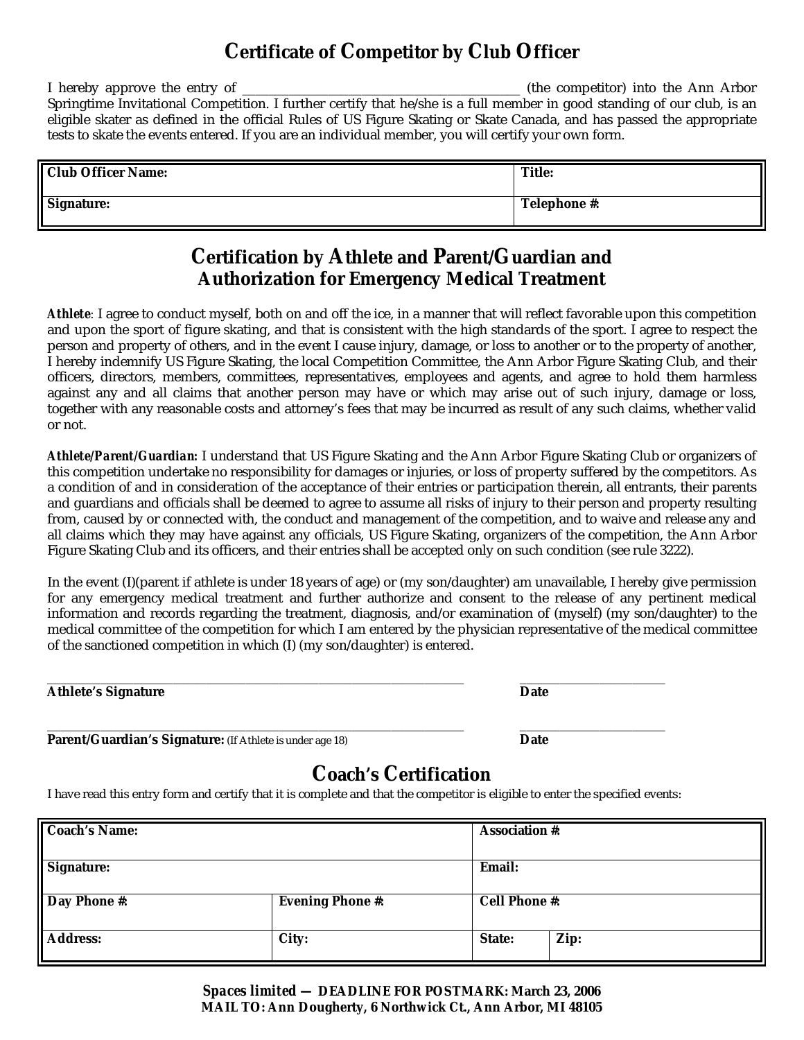## **Certificate of Competitor by Club Officer**

I hereby approve the entry of \_\_\_\_\_\_\_\_\_\_\_\_\_\_\_\_\_\_\_\_\_\_\_\_\_\_\_\_\_\_\_\_\_\_\_\_\_\_\_\_\_\_ (the competitor) into the Ann Arbor Springtime Invitational Competition. I further certify that he/she is a full member in good standing of our club, is an eligible skater as defined in the official Rules of US Figure Skating or Skate Canada, and has passed the appropriate tests to skate the events entered. If you are an individual member, you will certify your own form.

| Club Officer Name: | Title:       |
|--------------------|--------------|
| Signature:         | Telephone #: |

### **Certification by Athlete and Parent/Guardian and Authorization for Emergency Medical Treatment**

*Athlete:* I agree to conduct myself, both on and off the ice, in a manner that will reflect favorable upon this competition and upon the sport of figure skating, and that is consistent with the high standards of the sport. I agree to respect the person and property of others, and in the event I cause injury, damage, or loss to another or to the property of another, I hereby indemnify US Figure Skating, the local Competition Committee, the Ann Arbor Figure Skating Club, and their officers, directors, members, committees, representatives, employees and agents, and agree to hold them harmless against any and all claims that another person may have or which may arise out of such injury, damage or loss, together with any reasonable costs and attorney's fees that may be incurred as result of any such claims, whether valid or not.

*Athlete/Parent/Guardian:* I understand that US Figure Skating and the Ann Arbor Figure Skating Club or organizers of this competition undertake no responsibility for damages or injuries, or loss of property suffered by the competitors. As a condition of and in consideration of the acceptance of their entries or participation therein, all entrants, their parents and guardians and officials shall be deemed to agree to assume all risks of injury to their person and property resulting from, caused by or connected with, the conduct and management of the competition, and to waive and release any and all claims which they may have against any officials, US Figure Skating, organizers of the competition, the Ann Arbor Figure Skating Club and its officers, and their entries shall be accepted only on such condition (see rule 3222).

In the event (I)(parent if athlete is under 18 years of age) or (my son/daughter) am unavailable, I hereby give permission for any emergency medical treatment and further authorize and consent to the release of any pertinent medical information and records regarding the treatment, diagnosis, and/or examination of (myself) (my son/daughter) to the medical committee of the competition for which I am entered by the physician representative of the medical committee of the sanctioned competition in which (I) (my son/daughter) is entered.

| Athlete's Signature | Date |
|---------------------|------|
|---------------------|------|

**Parent/Guardian's Signature:** (If Athlete is under age 18) **Date**

\_\_\_\_\_\_\_\_\_\_\_\_\_\_\_\_\_\_\_\_\_\_\_\_\_\_\_\_\_\_\_\_\_\_\_\_\_\_\_\_\_\_\_\_\_\_\_\_\_\_\_\_\_\_\_\_\_\_\_\_\_\_\_ \_\_\_\_\_\_\_\_\_\_\_\_\_\_\_\_\_\_\_\_\_\_

### **Coach's Certification**

I have read this entry form and certify that it is complete and that the competitor is eligible to enter the specified events:

\_\_\_\_\_\_\_\_\_\_\_\_\_\_\_\_\_\_\_\_\_\_\_\_\_\_\_\_\_\_\_\_\_\_\_\_\_\_\_\_\_\_\_\_\_\_\_\_\_\_\_\_\_\_\_\_\_\_\_\_\_\_\_ \_\_\_\_\_\_\_\_\_\_\_\_\_\_\_\_\_\_\_\_\_\_

| Coach's Name: |                  | Association #: |      |
|---------------|------------------|----------------|------|
| Signature:    |                  | Email:         |      |
| Day Phone #:  | Evening Phone #: | Cell Phone #:  |      |
| Address:      | City:            | State:         | Zip: |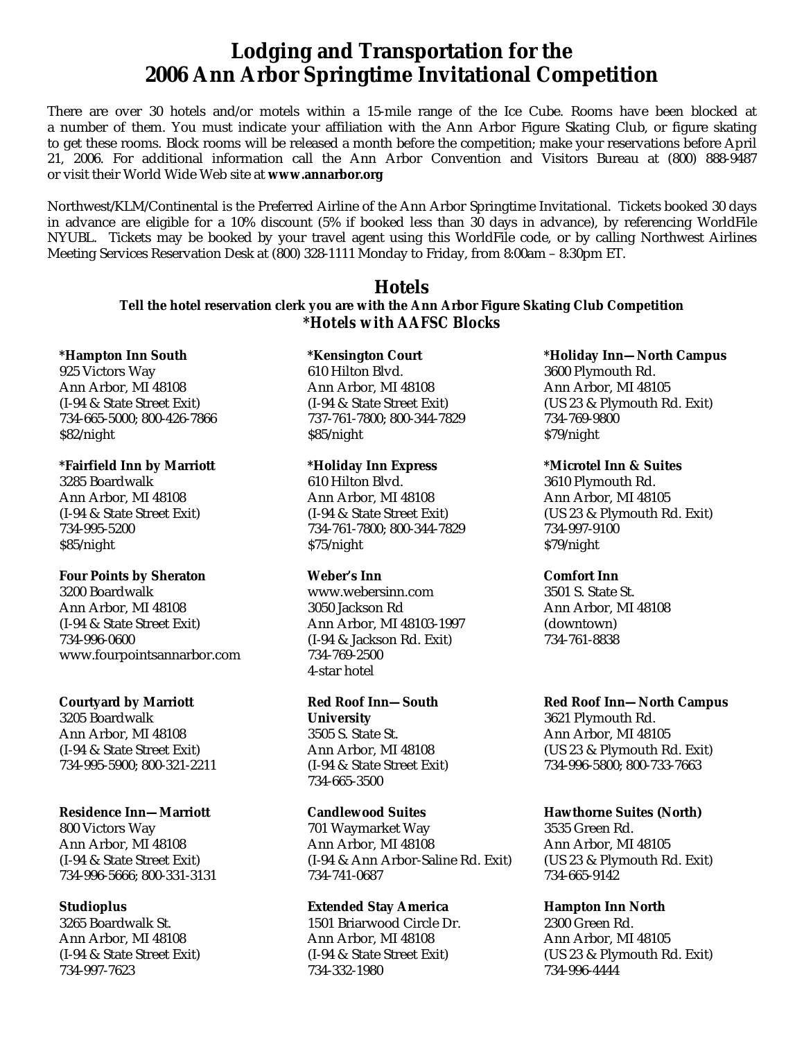### **Lodging and Transportation for the 2006 Ann Arbor Springtime Invitational Competition**

There are over 30 hotels and/or motels within a 15-mile range of the Ice Cube. Rooms have been blocked at a number of them. You must indicate your affiliation with the Ann Arbor Figure Skating Club, or figure skating to get these rooms. Block rooms will be released a month before the competition; make your reservations before April 21, 2006. For additional information call the Ann Arbor Convention and Visitors Bureau at (800) 888-9487 or visit their World Wide Web site at **[www.annarbor.org](http://www.annarbor.org)**

Northwest/KLM/Continental is the Preferred Airline of the Ann Arbor Springtime Invitational. Tickets booked 30 days in advance are eligible for a 10% discount (5% if booked less than 30 days in advance), by referencing WorldFile NYUBL. Tickets may be booked by your travel agent using this WorldFile code, or by calling Northwest Airlines Meeting Services Reservation Desk at (800) 328-1111 Monday to Friday, from 8:00am – 8:30pm ET.

> **Hotels Tell the hotel reservation clerk you are with the Ann Arbor Figure Skating Club Competition** *\*Hotels with AAFSC Blocks*

**\*Hampton Inn South** 925 Victors Way Ann Arbor, MI 48108 (I-94 & State Street Exit) 734-665-5000; 800-426-7866 \$82/night

**\*Fairfield Inn by Marriott** 3285 Boardwalk Ann Arbor, MI 48108 (I-94 & State Street Exit) 734-995-5200 \$85/night

**Four Points by Sheraton** 3200 Boardwalk Ann Arbor, MI 48108 (I-94 & State Street Exit) 734-996-0600 [www.fourpointsannarbor.com](http://www.fourpointsannarbor.com)

**Courtyard by Marriott** 3205 Boardwalk Ann Arbor, MI 48108 (I-94 & State Street Exit) 734-995-5900; 800-321-2211

**Residence Inn—Marriott** 800 Victors Way Ann Arbor, MI 48108 (I-94 & State Street Exit) 734-996-5666; 800-331-3131

**Studioplus** 3265 Boardwalk St. Ann Arbor, MI 48108 (I-94 & State Street Exit) 734-997-7623

**\*Kensington Court** 610 Hilton Blvd. Ann Arbor, MI 48108 (I-94 & State Street Exit) 737-761-7800; 800-344-7829 \$85/night

**\*Holiday Inn Express** 610 Hilton Blvd. Ann Arbor, MI 48108 (I-94 & State Street Exit) 734-761-7800; 800-344-7829 \$75/night

**Weber's Inn** [www.webersinn.com](http://www.webersinn.com) 3050 Jackson Rd Ann Arbor, MI 48103-1997 (I-94 & Jackson Rd. Exit) 734-769-2500 4-star hotel

**Red Roof Inn—South University** 3505 S. State St. Ann Arbor, MI 48108 (I-94 & State Street Exit) 734-665-3500

**Candlewood Suites** 701 Waymarket Way Ann Arbor, MI 48108 (I-94 & Ann Arbor-Saline Rd. Exit) 734-741-0687

**Extended Stay America** 1501 Briarwood Circle Dr. Ann Arbor, MI 48108 (I-94 & State Street Exit) 734-332-1980

**\*Holiday Inn—North Campus** 3600 Plymouth Rd. Ann Arbor, MI 48105 (US 23 & Plymouth Rd. Exit) 734-769-9800 \$79/night

**\*Microtel Inn & Suites** 3610 Plymouth Rd. Ann Arbor, MI 48105 (US 23 & Plymouth Rd. Exit) 734-997-9100 \$79/night

**Comfort Inn** 3501 S. State St. Ann Arbor, MI 48108 (downtown) 734-761-8838

**Red Roof Inn—North Campus** 3621 Plymouth Rd. Ann Arbor, MI 48105 (US 23 & Plymouth Rd. Exit) 734-996-5800; 800-733-7663

**Hawthorne Suites (North)** 3535 Green Rd. Ann Arbor, MI 48105 (US 23 & Plymouth Rd. Exit) 734-665-9142

**Hampton Inn North** 2300 Green Rd. Ann Arbor, MI 48105 (US 23 & Plymouth Rd. Exit) 734-996-4444